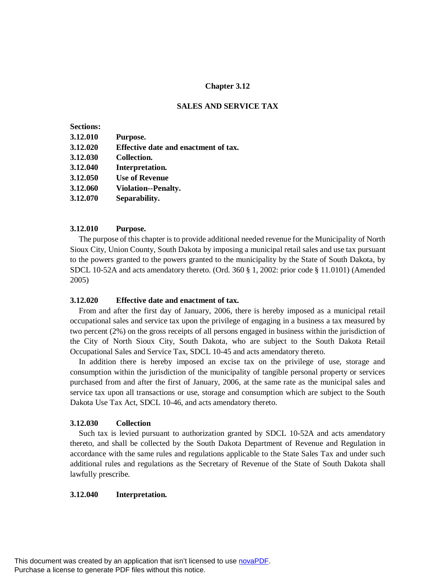# **Chapter 3.12**

### **SALES AND SERVICE TAX**

### **Sections:**

| 3.12.010 | Purpose.                             |
|----------|--------------------------------------|
| 3.12.020 | Effective date and enactment of tax. |
| 3.12.030 | Collection.                          |
| 3.12.040 | Interpretation.                      |
| 3.12.050 | <b>Use of Revenue</b>                |
| 3.12.060 | <b>Violation--Penalty.</b>           |
| 3.12.070 | Separability.                        |

#### **3.12.010 Purpose.**

The purpose of this chapter is to provide additional needed revenue for the Municipality of North Sioux City, Union County, South Dakota by imposing a municipal retail sales and use tax pursuant to the powers granted to the powers granted to the municipality by the State of South Dakota, by SDCL 10-52A and acts amendatory thereto. (Ord. 360  $\S$  1, 2002: prior code  $\S$  11.0101) (Amended 2005)

# **3.12.020 Effective date and enactment of tax.**

From and after the first day of January, 2006, there is hereby imposed as a municipal retail occupational sales and service tax upon the privilege of engaging in a business a tax measured by two percent (2%) on the gross receipts of all persons engaged in business within the jurisdiction of the City of North Sioux City, South Dakota, who are subject to the South Dakota Retail Occupational Sales and Service Tax, SDCL 10-45 and acts amendatory thereto.

In addition there is hereby imposed an excise tax on the privilege of use, storage and consumption within the jurisdiction of the municipality of tangible personal property or services purchased from and after the first of January, 2006, at the same rate as the municipal sales and service tax upon all transactions or use, storage and consumption which are subject to the South Dakota Use Tax Act, SDCL 10-46, and acts amendatory thereto.

# **3.12.030 Collection**

Such tax is levied pursuant to authorization granted by SDCL 10-52A and acts amendatory thereto, and shall be collected by the South Dakota Department of Revenue and Regulation in accordance with the same rules and regulations applicable to the State Sales Tax and under such additional rules and regulations as the Secretary of Revenue of the State of South Dakota shall lawfully prescribe.

# **3.12.040 Interpretation.**